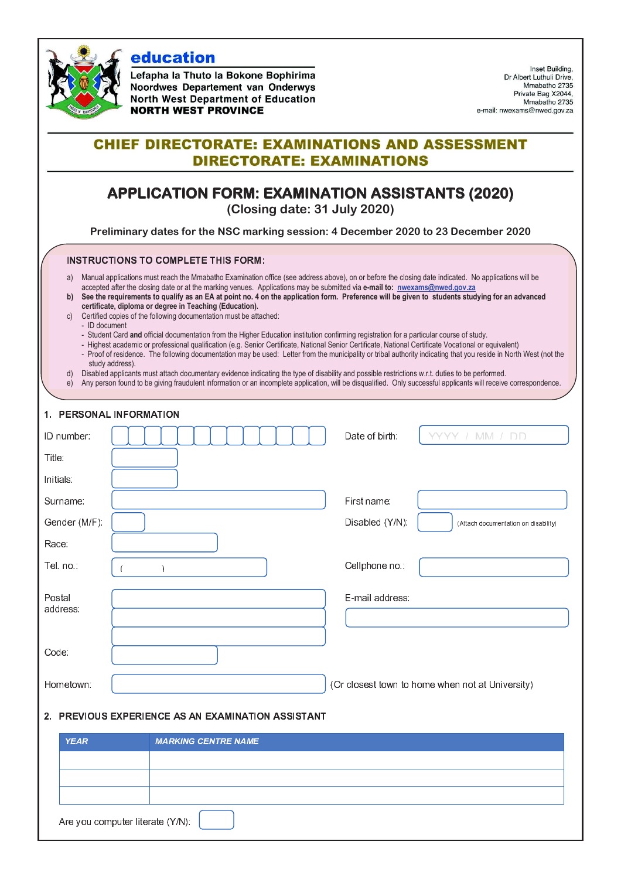

education

Lefapha la Thuto la Bokone Bophirima Noordwes Departement van Onderwys **North West Department of Education NORTH WEST PROVINCE** 

Inset Building. Dr Albert Luthuli Drive. Mmabatho 2735 Private Bag X2044, Mmabatho 2735 e-mail: nwexams@nwed.gov.za

## **CHIEF DIRECTORATE: EXAMINATIONS AND ASSESSMENT DIRECTORATE: EXAMINATIONS**

# **APPLICATION FORM: EXAMINATION ASSISTANTS (2020)**

**(Closing date: 31 July 2020)** 

**Preliminary dates for the NSC marking session: 4 December 2020 to 23 December 2020** 

### <sup>L</sup> <sup>N</sup> <sup>N</sup>  - <sup>a</sup> <sup>b</sup>

- a) Manual applications must reach the Mmabatho Examination office (see address above), on or before the closing date indicated. No applications will be accepted after the closing date or at the marking venues. Applications may be submitted via **e-mail to: nwexams@nwed.gov.za**
- **b) See the requirements to qualify as an EA at point no. 4 on the application form. Preference will be given to students studying for an advanced certificate, diploma or degree in Teaching (Education).**
- c) Certified copies of the following documentation must be attached:
	- ID document
	- Student Card **and** official documentation from the Higher Education institution confirming registration for a particular course of study.
	- Highest academic or professional qualification (e.g. Senior Certificate, National Senior Certificate, National Certificate Vocational or equivalent)
	- Proof of residence. The following documentation may be used: Letter from the municipality or tribal authority indicating that you reside in North West (not the study address).
- d) Disabled applicants must attach documentary evidence indicating the type of disability and possible restrictions w.r.t. duties to be performed.
- e) Any person found to be giving fraudulent information or an incomplete application, will be disqualified. Only successful applicants will receive correspondence.

| 1. PERSONAL INFORMATION                            |                            |                                                         |  |
|----------------------------------------------------|----------------------------|---------------------------------------------------------|--|
| ID number:                                         |                            | Date of birth:<br>חח / MM / חח                          |  |
| Title:                                             |                            |                                                         |  |
| Initials:                                          |                            |                                                         |  |
| Surname:                                           |                            | First name:                                             |  |
| Gender (M/F):                                      |                            | Disabled (Y/N):<br>(Attach documentation on disability) |  |
| Race:                                              |                            |                                                         |  |
| Tel. no.:                                          | Ì<br>-6                    | Cellphone no.:                                          |  |
| Postal<br>address:                                 |                            | E-mail address:                                         |  |
| Code:                                              |                            |                                                         |  |
| Hometown:                                          |                            | (Or closest town to home when not at University)        |  |
| 2. PREVIOUS EXPERIENCE AS AN EXAMINATION ASSISTANT |                            |                                                         |  |
| <b>YEAR</b>                                        | <b>MARKING CENTRE NAME</b> |                                                         |  |
|                                                    |                            |                                                         |  |
|                                                    |                            |                                                         |  |
| Are you computer literate (Y/N):                   |                            |                                                         |  |